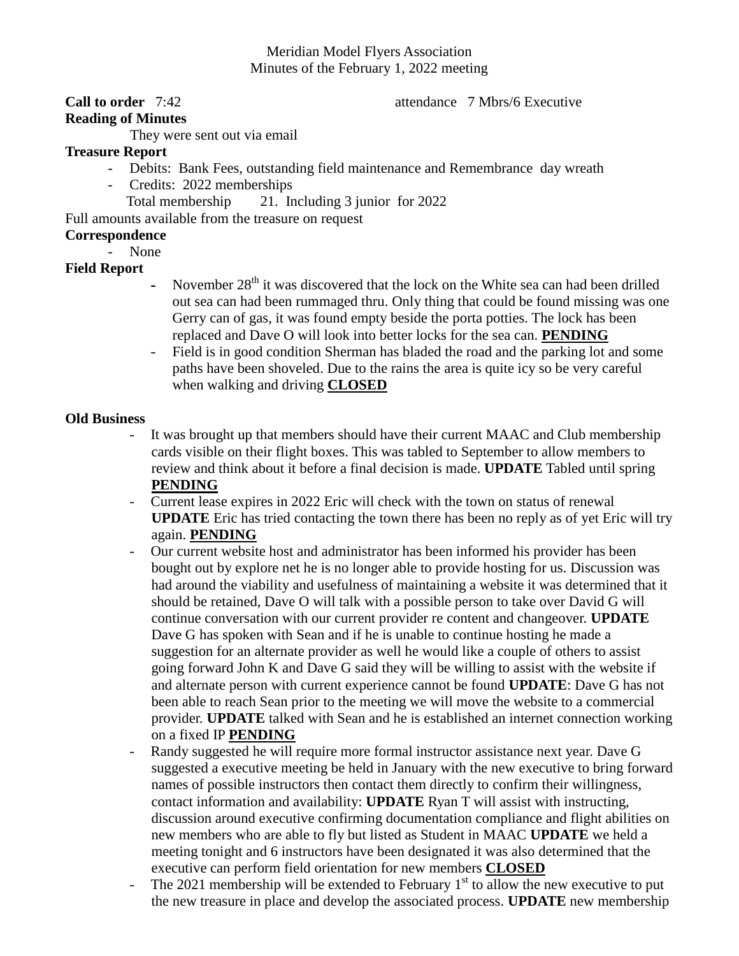# Meridian Model Flyers Association Minutes of the February 1, 2022 meeting

# **Reading of Minutes**

#### **Call to order** 7:42 **attendance** 7 Mbrs/6 Executive

They were sent out via email

#### **Treasure Report**

- Debits: Bank Fees, outstanding field maintenance and Remembrance day wreath
- Credits: 2022 memberships
	- Total membership 21. Including 3 junior for 2022

Full amounts available from the treasure on request

## **Correspondence**

- None

## **Field Report**

- November  $28<sup>th</sup>$  it was discovered that the lock on the White sea can had been drilled out sea can had been rummaged thru. Only thing that could be found missing was one Gerry can of gas, it was found empty beside the porta potties. The lock has been replaced and Dave O will look into better locks for the sea can. **PENDING**
- Field is in good condition Sherman has bladed the road and the parking lot and some paths have been shoveled. Due to the rains the area is quite icy so be very careful when walking and driving **CLOSED**

## **Old Business**

- It was brought up that members should have their current MAAC and Club membership cards visible on their flight boxes. This was tabled to September to allow members to review and think about it before a final decision is made. **UPDATE** Tabled until spring **PENDING**
- Current lease expires in 2022 Eric will check with the town on status of renewal **UPDATE** Eric has tried contacting the town there has been no reply as of yet Eric will try again. **PENDING**
- Our current website host and administrator has been informed his provider has been bought out by explore net he is no longer able to provide hosting for us. Discussion was had around the viability and usefulness of maintaining a website it was determined that it should be retained, Dave O will talk with a possible person to take over David G will continue conversation with our current provider re content and changeover. **UPDATE** Dave G has spoken with Sean and if he is unable to continue hosting he made a suggestion for an alternate provider as well he would like a couple of others to assist going forward John K and Dave G said they will be willing to assist with the website if and alternate person with current experience cannot be found **UPDATE**: Dave G has not been able to reach Sean prior to the meeting we will move the website to a commercial provider. **UPDATE** talked with Sean and he is established an internet connection working on a fixed IP **PENDING**
- Randy suggested he will require more formal instructor assistance next year. Dave G suggested a executive meeting be held in January with the new executive to bring forward names of possible instructors then contact them directly to confirm their willingness, contact information and availability: **UPDATE** Ryan T will assist with instructing, discussion around executive confirming documentation compliance and flight abilities on new members who are able to fly but listed as Student in MAAC **UPDATE** we held a meeting tonight and 6 instructors have been designated it was also determined that the executive can perform field orientation for new members **CLOSED**
- The 2021 membership will be extended to February  $1<sup>st</sup>$  to allow the new executive to put the new treasure in place and develop the associated process. **UPDATE** new membership